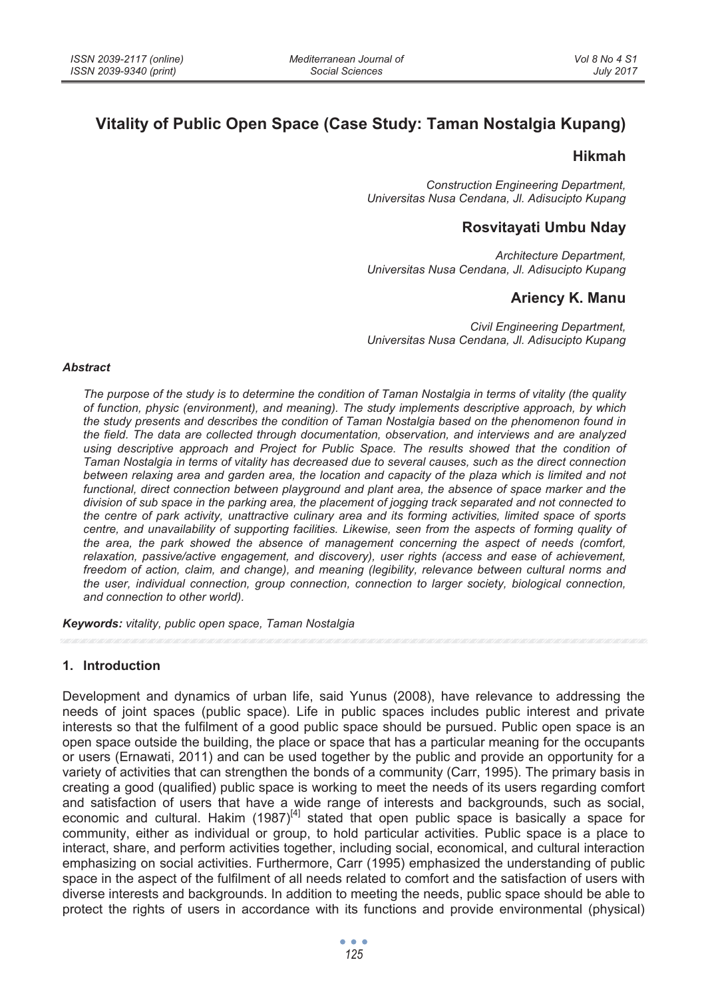# **Vitality of Public Open Space (Case Study: Taman Nostalgia Kupang)**

### **Hikmah**

*Construction Engineering Department, Universitas Nusa Cendana, Jl. Adisucipto Kupang* 

### **Rosvitayati Umbu Nday**

*Architecture Department, Universitas Nusa Cendana, Jl. Adisucipto Kupang* 

## **Ariency K. Manu**

*Civil Engineering Department, Universitas Nusa Cendana, Jl. Adisucipto Kupang* 

#### *Abstract*

*The purpose of the study is to determine the condition of Taman Nostalgia in terms of vitality (the quality of function, physic (environment), and meaning). The study implements descriptive approach, by which the study presents and describes the condition of Taman Nostalgia based on the phenomenon found in the field. The data are collected through documentation, observation, and interviews and are analyzed using descriptive approach and Project for Public Space. The results showed that the condition of Taman Nostalgia in terms of vitality has decreased due to several causes, such as the direct connection*  between relaxing area and garden area, the location and capacity of the plaza which is limited and not *functional, direct connection between playground and plant area, the absence of space marker and the division of sub space in the parking area, the placement of jogging track separated and not connected to the centre of park activity, unattractive culinary area and its forming activities, limited space of sports centre, and unavailability of supporting facilities. Likewise, seen from the aspects of forming quality of the area, the park showed the absence of management concerning the aspect of needs (comfort, relaxation, passive/active engagement, and discovery), user rights (access and ease of achievement, freedom of action, claim, and change), and meaning (legibility, relevance between cultural norms and the user, individual connection, group connection, connection to larger society, biological connection, and connection to other world).* 

*Keywords: vitality, public open space, Taman Nostalgia* 

### **1. Introduction**

Development and dynamics of urban life, said Yunus (2008), have relevance to addressing the needs of joint spaces (public space). Life in public spaces includes public interest and private interests so that the fulfilment of a good public space should be pursued. Public open space is an open space outside the building, the place or space that has a particular meaning for the occupants or users (Ernawati, 2011) and can be used together by the public and provide an opportunity for a variety of activities that can strengthen the bonds of a community (Carr, 1995). The primary basis in creating a good (qualified) public space is working to meet the needs of its users regarding comfort and satisfaction of users that have a wide range of interests and backgrounds, such as social, economic and cultural. Hakim  $(1987)^{[4]}$  stated that open public space is basically a space for community, either as individual or group, to hold particular activities. Public space is a place to interact, share, and perform activities together, including social, economical, and cultural interaction emphasizing on social activities. Furthermore, Carr (1995) emphasized the understanding of public space in the aspect of the fulfilment of all needs related to comfort and the satisfaction of users with diverse interests and backgrounds. In addition to meeting the needs, public space should be able to protect the rights of users in accordance with its functions and provide environmental (physical)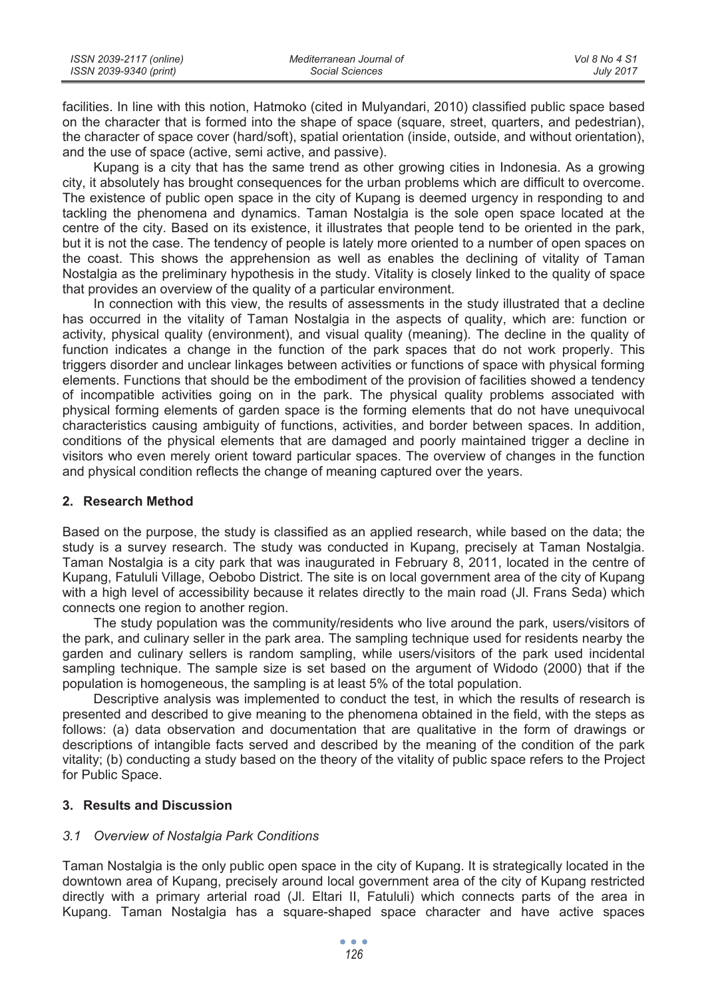| ISSN 2039-2117 (online) | Mediterranean Journal of | Vol 8 No 4 S1    |
|-------------------------|--------------------------|------------------|
| ISSN 2039-9340 (print)  | Social Sciences          | <b>July 2017</b> |

facilities. In line with this notion, Hatmoko (cited in Mulyandari, 2010) classified public space based on the character that is formed into the shape of space (square, street, quarters, and pedestrian), the character of space cover (hard/soft), spatial orientation (inside, outside, and without orientation), and the use of space (active, semi active, and passive).

Kupang is a city that has the same trend as other growing cities in Indonesia. As a growing city, it absolutely has brought consequences for the urban problems which are difficult to overcome. The existence of public open space in the city of Kupang is deemed urgency in responding to and tackling the phenomena and dynamics. Taman Nostalgia is the sole open space located at the centre of the city. Based on its existence, it illustrates that people tend to be oriented in the park, but it is not the case. The tendency of people is lately more oriented to a number of open spaces on the coast. This shows the apprehension as well as enables the declining of vitality of Taman Nostalgia as the preliminary hypothesis in the study. Vitality is closely linked to the quality of space that provides an overview of the quality of a particular environment.

In connection with this view, the results of assessments in the study illustrated that a decline has occurred in the vitality of Taman Nostalgia in the aspects of quality, which are: function or activity, physical quality (environment), and visual quality (meaning). The decline in the quality of function indicates a change in the function of the park spaces that do not work properly. This triggers disorder and unclear linkages between activities or functions of space with physical forming elements. Functions that should be the embodiment of the provision of facilities showed a tendency of incompatible activities going on in the park. The physical quality problems associated with physical forming elements of garden space is the forming elements that do not have unequivocal characteristics causing ambiguity of functions, activities, and border between spaces. In addition, conditions of the physical elements that are damaged and poorly maintained trigger a decline in visitors who even merely orient toward particular spaces. The overview of changes in the function and physical condition reflects the change of meaning captured over the years.

#### **2. Research Method**

Based on the purpose, the study is classified as an applied research, while based on the data; the study is a survey research. The study was conducted in Kupang, precisely at Taman Nostalgia. Taman Nostalgia is a city park that was inaugurated in February 8, 2011, located in the centre of Kupang, Fatululi Village, Oebobo District. The site is on local government area of the city of Kupang with a high level of accessibility because it relates directly to the main road (Jl. Frans Seda) which connects one region to another region.

The study population was the community/residents who live around the park, users/visitors of the park, and culinary seller in the park area. The sampling technique used for residents nearby the garden and culinary sellers is random sampling, while users/visitors of the park used incidental sampling technique. The sample size is set based on the argument of Widodo (2000) that if the population is homogeneous, the sampling is at least 5% of the total population.

Descriptive analysis was implemented to conduct the test, in which the results of research is presented and described to give meaning to the phenomena obtained in the field, with the steps as follows: (a) data observation and documentation that are qualitative in the form of drawings or descriptions of intangible facts served and described by the meaning of the condition of the park vitality; (b) conducting a study based on the theory of the vitality of public space refers to the Project for Public Space.

### **3. Results and Discussion**

### *3.1 Overview of Nostalgia Park Conditions*

Taman Nostalgia is the only public open space in the city of Kupang. It is strategically located in the downtown area of Kupang, precisely around local government area of the city of Kupang restricted directly with a primary arterial road (Jl. Eltari II, Fatululi) which connects parts of the area in Kupang. Taman Nostalgia has a square-shaped space character and have active spaces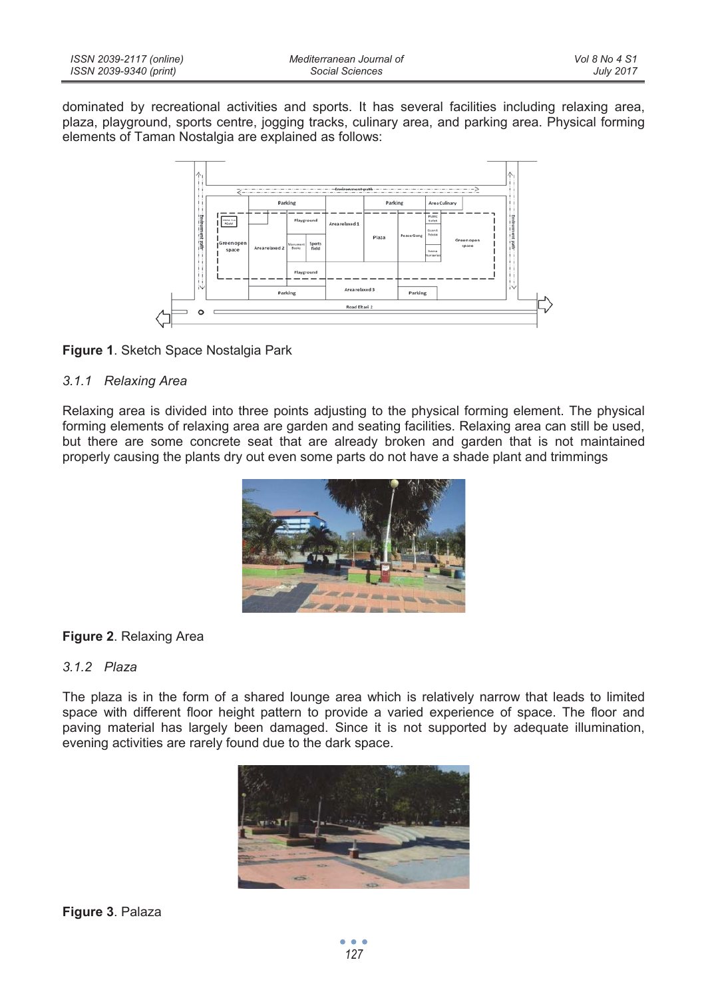| ISSN 2039-2117 (online) | Mediterranean Journal of | Vol 8 No 4 S1    |
|-------------------------|--------------------------|------------------|
| ISSN 2039-9340 (print)  | Social Sciences          | <b>July 2017</b> |

dominated by recreational activities and sports. It has several facilities including relaxing area, plaza, playground, sports centre, jogging tracks, culinary area, and parking area. Physical forming elements of Taman Nostalgia are explained as follows:





### *3.1.1 Relaxing Area*

Relaxing area is divided into three points adjusting to the physical forming element. The physical forming elements of relaxing area are garden and seating facilities. Relaxing area can still be used, but there are some concrete seat that are already broken and garden that is not maintained properly causing the plants dry out even some parts do not have a shade plant and trimmings



### **Figure 2**. Relaxing Area

### *3.1.2 Plaza*

The plaza is in the form of a shared lounge area which is relatively narrow that leads to limited space with different floor height pattern to provide a varied experience of space. The floor and paving material has largely been damaged. Since it is not supported by adequate illumination, evening activities are rarely found due to the dark space.

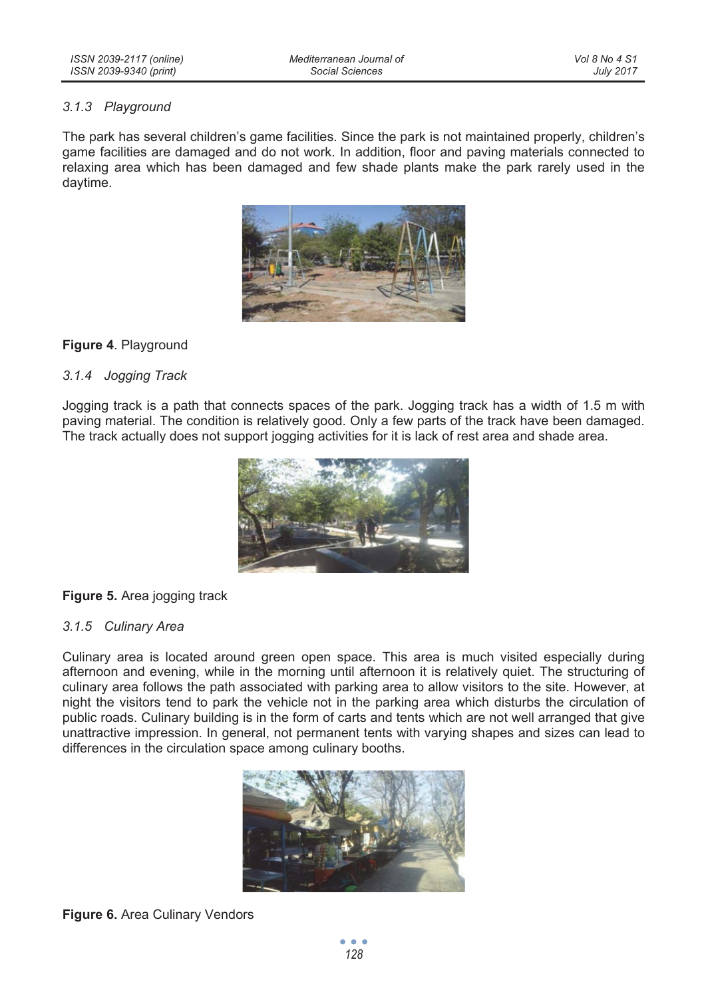### *3.1.3 Playground*

The park has several children's game facilities. Since the park is not maintained properly, children's game facilities are damaged and do not work. In addition, floor and paving materials connected to relaxing area which has been damaged and few shade plants make the park rarely used in the daytime.



### **Figure 4**. Playground

### *3.1.4 Jogging Track*

Jogging track is a path that connects spaces of the park. Jogging track has a width of 1.5 m with paving material. The condition is relatively good. Only a few parts of the track have been damaged. The track actually does not support jogging activities for it is lack of rest area and shade area.



### **Figure 5.** Area jogging track

### *3.1.5 Culinary Area*

Culinary area is located around green open space. This area is much visited especially during afternoon and evening, while in the morning until afternoon it is relatively quiet. The structuring of culinary area follows the path associated with parking area to allow visitors to the site. However, at night the visitors tend to park the vehicle not in the parking area which disturbs the circulation of public roads. Culinary building is in the form of carts and tents which are not well arranged that give unattractive impression. In general, not permanent tents with varying shapes and sizes can lead to differences in the circulation space among culinary booths.



### **Figure 6.** Area Culinary Vendors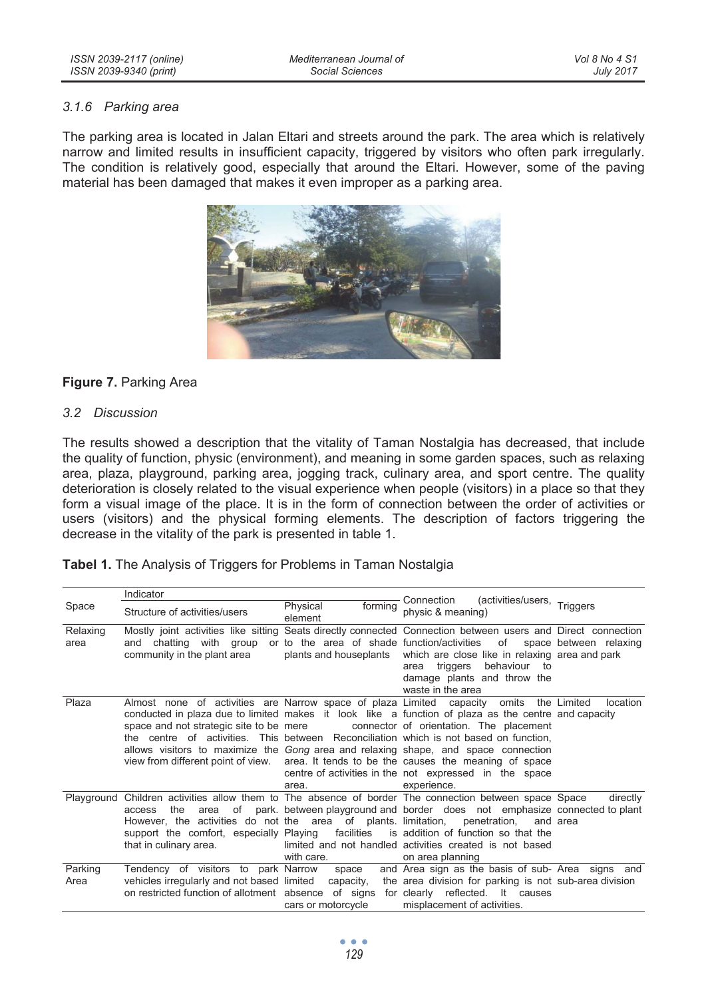### *3.1.6 Parking area*

The parking area is located in Jalan Eltari and streets around the park. The area which is relatively narrow and limited results in insufficient capacity, triggered by visitors who often park irregularly. The condition is relatively good, especially that around the Eltari. However, some of the paving material has been damaged that makes it even improper as a parking area.



### **Figure 7. Parking Area**

#### *3.2 Discussion*

The results showed a description that the vitality of Taman Nostalgia has decreased, that include the quality of function, physic (environment), and meaning in some garden spaces, such as relaxing area, plaza, playground, parking area, jogging track, culinary area, and sport centre. The quality deterioration is closely related to the visual experience when people (visitors) in a place so that they form a visual image of the place. It is in the form of connection between the order of activities or users (visitors) and the physical forming elements. The description of factors triggering the decrease in the vitality of the park is presented in table 1.

| (activities/users, Triggers<br>Connection<br>Space<br>Physical<br>forming<br>physic & meaning)<br>Structure of activities/users<br>element<br>Mostly joint activities like sitting Seats directly connected Connection between users and Direct connection<br>Relaxing<br>or to the area of shade function/activities of space between relaxing<br>and chatting with group<br>area<br>community in the plant area<br>which are close like in relaxing area and park<br>plants and houseplants<br>behaviour<br>triggers<br>to<br>area<br>damage plants and throw the<br>waste in the area |          |
|------------------------------------------------------------------------------------------------------------------------------------------------------------------------------------------------------------------------------------------------------------------------------------------------------------------------------------------------------------------------------------------------------------------------------------------------------------------------------------------------------------------------------------------------------------------------------------------|----------|
|                                                                                                                                                                                                                                                                                                                                                                                                                                                                                                                                                                                          |          |
|                                                                                                                                                                                                                                                                                                                                                                                                                                                                                                                                                                                          |          |
|                                                                                                                                                                                                                                                                                                                                                                                                                                                                                                                                                                                          |          |
|                                                                                                                                                                                                                                                                                                                                                                                                                                                                                                                                                                                          |          |
|                                                                                                                                                                                                                                                                                                                                                                                                                                                                                                                                                                                          |          |
| Plaza<br>Almost none of activities are Narrow space of plaza Limited capacity omits the Limited<br>location                                                                                                                                                                                                                                                                                                                                                                                                                                                                              |          |
| conducted in plaza due to limited makes it look like a function of plaza as the centre and capacity                                                                                                                                                                                                                                                                                                                                                                                                                                                                                      |          |
| space and not strategic site to be mere<br>connector of orientation. The placement                                                                                                                                                                                                                                                                                                                                                                                                                                                                                                       |          |
| the centre of activities. This between Reconciliation which is not based on function.                                                                                                                                                                                                                                                                                                                                                                                                                                                                                                    |          |
| allows visitors to maximize the Gong area and relaxing shape, and space connection                                                                                                                                                                                                                                                                                                                                                                                                                                                                                                       |          |
| view from different point of view. area. It tends to be the causes the meaning of space                                                                                                                                                                                                                                                                                                                                                                                                                                                                                                  |          |
| centre of activities in the not expressed in the space                                                                                                                                                                                                                                                                                                                                                                                                                                                                                                                                   |          |
| experience.<br>area.                                                                                                                                                                                                                                                                                                                                                                                                                                                                                                                                                                     |          |
| Playground Children activities allow them to The absence of border The connection between space Space                                                                                                                                                                                                                                                                                                                                                                                                                                                                                    | directly |
| area of park, between playground and border does not emphasize connected to plant<br>the<br>access                                                                                                                                                                                                                                                                                                                                                                                                                                                                                       |          |
| However, the activities do not the area of plants limitation,<br>penetration,<br>and area<br>is addition of function so that the                                                                                                                                                                                                                                                                                                                                                                                                                                                         |          |
| support the comfort, especially Playing<br>facilities<br>limited and not handled activities created is not based                                                                                                                                                                                                                                                                                                                                                                                                                                                                         |          |
| that in culinary area.<br>with care.<br>on area planning                                                                                                                                                                                                                                                                                                                                                                                                                                                                                                                                 |          |
|                                                                                                                                                                                                                                                                                                                                                                                                                                                                                                                                                                                          |          |
| Parking<br>and Area sign as the basis of sub- Area signs and<br>Tendency of visitors to park Narrow<br>space<br>vehicles irregularly and not based limited capacity,<br>the area division for parking is not sub-area division<br>Area                                                                                                                                                                                                                                                                                                                                                   |          |
| on restricted function of allotment absence of signs for clearly reflected. It causes                                                                                                                                                                                                                                                                                                                                                                                                                                                                                                    |          |
| cars or motorcycle<br>misplacement of activities.                                                                                                                                                                                                                                                                                                                                                                                                                                                                                                                                        |          |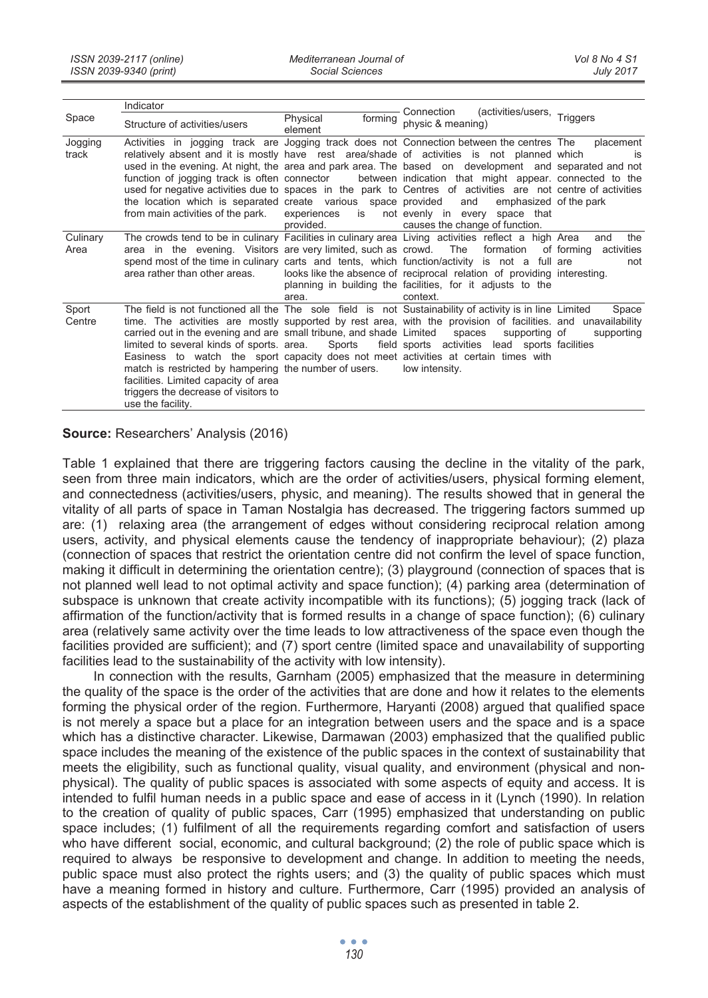|                  | Indicator                                                                                                                                                                                                                                                                                                                                                                                                                                                                                                                                                                                                                     |                                                 |                                                                                                                                                  |                                                      |
|------------------|-------------------------------------------------------------------------------------------------------------------------------------------------------------------------------------------------------------------------------------------------------------------------------------------------------------------------------------------------------------------------------------------------------------------------------------------------------------------------------------------------------------------------------------------------------------------------------------------------------------------------------|-------------------------------------------------|--------------------------------------------------------------------------------------------------------------------------------------------------|------------------------------------------------------|
| Space            | Structure of activities/users                                                                                                                                                                                                                                                                                                                                                                                                                                                                                                                                                                                                 | forming<br>Physical<br>element                  | (activities/users, Triggers<br>Connection<br>physic & meaning)                                                                                   |                                                      |
| Jogging<br>track | Activities in jogging track are Jogging track does not Connection between the centres The<br>relatively absent and it is mostly have rest area/shade of activities is not planned which<br>used in the evening. At night, the area and park area. The based on development and separated and not<br>function of jogging track is often connector between indication that might appear. connected to the<br>used for negative activities due to spaces in the park to Centres of activities are not centre of activities<br>the location which is separated create various space provided<br>from main activities of the park. | experiences is not evenly in every<br>provided. | and<br>emphasized of the park<br>space that<br>causes the change of function.                                                                    | placement<br>is                                      |
| Culinary<br>Area | The crowds tend to be in culinary Facilities in culinary area Living activities reflect a high Area<br>area in the evening. Visitors are very limited, such as crowd. The<br>spend most of the time in culinary carts and tents, which function/activity is not a full are<br>area rather than other areas.                                                                                                                                                                                                                                                                                                                   | area.                                           | looks like the absence of reciprocal relation of providing interesting.<br>planning in building the facilities, for it adjusts to the<br>context | the<br>and<br>formation of forming activities<br>not |
| Sport<br>Centre  | The field is not functioned all the The sole field is not Sustainability of activity is in line Limited<br>time. The activities are mostly supported by rest area, with the provision of facilities, and unavailability<br>carried out in the evening and are small tribune, and shade Limited spaces<br>limited to several kinds of sports. area. Sports<br>Easiness to watch the sport capacity does not meet activities at certain times with<br>match is restricted by hampering the number of users.<br>facilities. Limited capacity of area<br>triggers the decrease of visitors to<br>use the facility.                |                                                 | supporting of<br>field sports activities lead sports facilities<br>low intensity.                                                                | Space<br>supporting                                  |

### **Source:** Researchers' Analysis (2016)

Table 1 explained that there are triggering factors causing the decline in the vitality of the park, seen from three main indicators, which are the order of activities/users, physical forming element, and connectedness (activities/users, physic, and meaning). The results showed that in general the vitality of all parts of space in Taman Nostalgia has decreased. The triggering factors summed up are: (1) relaxing area (the arrangement of edges without considering reciprocal relation among users, activity, and physical elements cause the tendency of inappropriate behaviour); (2) plaza (connection of spaces that restrict the orientation centre did not confirm the level of space function, making it difficult in determining the orientation centre); (3) playground (connection of spaces that is not planned well lead to not optimal activity and space function); (4) parking area (determination of subspace is unknown that create activity incompatible with its functions); (5) jogging track (lack of affirmation of the function/activity that is formed results in a change of space function); (6) culinary area (relatively same activity over the time leads to low attractiveness of the space even though the facilities provided are sufficient); and (7) sport centre (limited space and unavailability of supporting facilities lead to the sustainability of the activity with low intensity).

In connection with the results, Garnham (2005) emphasized that the measure in determining the quality of the space is the order of the activities that are done and how it relates to the elements forming the physical order of the region. Furthermore, Haryanti (2008) argued that qualified space is not merely a space but a place for an integration between users and the space and is a space which has a distinctive character. Likewise, Darmawan (2003) emphasized that the qualified public space includes the meaning of the existence of the public spaces in the context of sustainability that meets the eligibility, such as functional quality, visual quality, and environment (physical and nonphysical). The quality of public spaces is associated with some aspects of equity and access. It is intended to fulfil human needs in a public space and ease of access in it (Lynch (1990). In relation to the creation of quality of public spaces, Carr (1995) emphasized that understanding on public space includes; (1) fulfilment of all the requirements regarding comfort and satisfaction of users who have different social, economic, and cultural background; (2) the role of public space which is required to always be responsive to development and change. In addition to meeting the needs, public space must also protect the rights users; and (3) the quality of public spaces which must have a meaning formed in history and culture. Furthermore, Carr (1995) provided an analysis of aspects of the establishment of the quality of public spaces such as presented in table 2.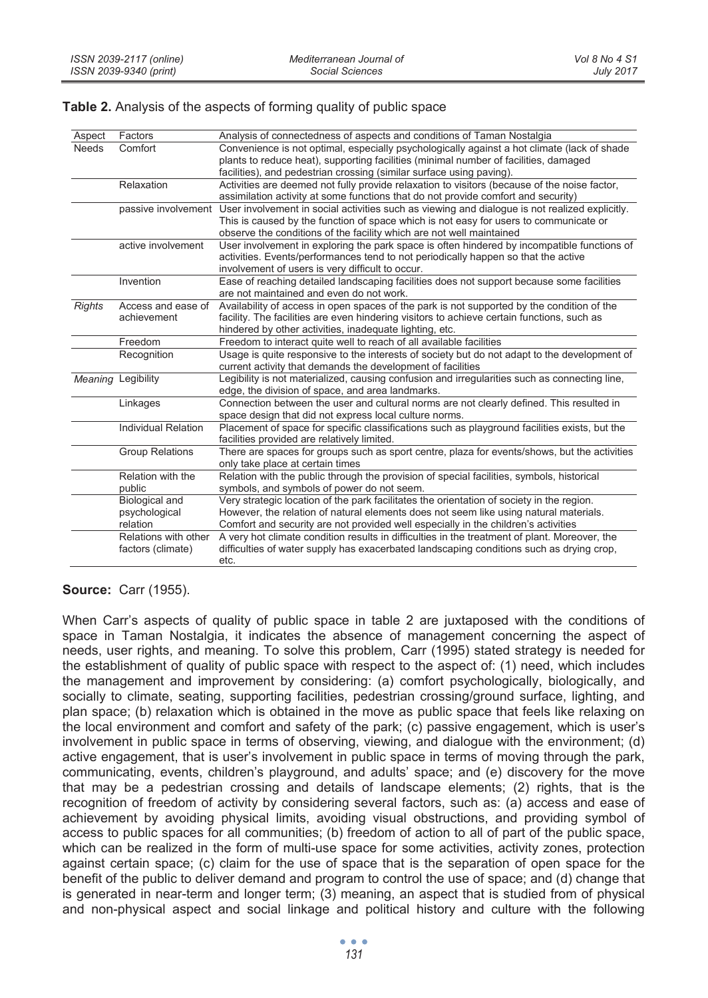#### **Table 2.** Analysis of the aspects of forming quality of public space

| Aspect        | Factors                    | Analysis of connectedness of aspects and conditions of Taman Nostalgia                                             |
|---------------|----------------------------|--------------------------------------------------------------------------------------------------------------------|
| <b>Needs</b>  | Comfort                    | Convenience is not optimal, especially psychologically against a hot climate (lack of shade                        |
|               |                            | plants to reduce heat), supporting facilities (minimal number of facilities, damaged                               |
|               |                            | facilities), and pedestrian crossing (similar surface using paving).                                               |
|               | Relaxation                 | Activities are deemed not fully provide relaxation to visitors (because of the noise factor,                       |
|               |                            | assimilation activity at some functions that do not provide comfort and security)                                  |
|               |                            | passive involvement User involvement in social activities such as viewing and dialogue is not realized explicitly. |
|               |                            | This is caused by the function of space which is not easy for users to communicate or                              |
|               |                            | observe the conditions of the facility which are not well maintained                                               |
|               | active involvement         | User involvement in exploring the park space is often hindered by incompatible functions of                        |
|               |                            | activities. Events/performances tend to not periodically happen so that the active                                 |
|               |                            | involvement of users is very difficult to occur.                                                                   |
|               | Invention                  | Ease of reaching detailed landscaping facilities does not support because some facilities                          |
|               |                            | are not maintained and even do not work.                                                                           |
| <b>Rights</b> | Access and ease of         | Availability of access in open spaces of the park is not supported by the condition of the                         |
|               | achievement                | facility. The facilities are even hindering visitors to achieve certain functions, such as                         |
|               |                            | hindered by other activities, inadequate lighting, etc.                                                            |
|               | Freedom                    | Freedom to interact quite well to reach of all available facilities                                                |
|               | Recognition                | Usage is quite responsive to the interests of society but do not adapt to the development of                       |
|               |                            | current activity that demands the development of facilities                                                        |
|               | Meaning Legibility         | Legibility is not materialized, causing confusion and irregularities such as connecting line,                      |
|               |                            | edge, the division of space, and area landmarks.                                                                   |
|               | Linkages                   | Connection between the user and cultural norms are not clearly defined. This resulted in                           |
|               |                            | space design that did not express local culture norms.                                                             |
|               | <b>Individual Relation</b> | Placement of space for specific classifications such as playground facilities exists, but the                      |
|               |                            | facilities provided are relatively limited.                                                                        |
|               | <b>Group Relations</b>     | There are spaces for groups such as sport centre, plaza for events/shows, but the activities                       |
|               |                            | only take place at certain times                                                                                   |
|               | Relation with the          | Relation with the public through the provision of special facilities, symbols, historical                          |
|               | public                     | symbols, and symbols of power do not seem.                                                                         |
|               | Biological and             | Very strategic location of the park facilitates the orientation of society in the region.                          |
|               | psychological              | However, the relation of natural elements does not seem like using natural materials.                              |
|               | relation                   | Comfort and security are not provided well especially in the children's activities                                 |
|               | Relations with other       | A very hot climate condition results in difficulties in the treatment of plant. Moreover, the                      |
|               | factors (climate)          | difficulties of water supply has exacerbated landscaping conditions such as drying crop.                           |
|               |                            | etc.                                                                                                               |
|               |                            |                                                                                                                    |

**Source:** Carr (1955).

When Carr's aspects of quality of public space in table 2 are juxtaposed with the conditions of space in Taman Nostalgia, it indicates the absence of management concerning the aspect of needs, user rights, and meaning. To solve this problem, Carr (1995) stated strategy is needed for the establishment of quality of public space with respect to the aspect of: (1) need, which includes the management and improvement by considering: (a) comfort psychologically, biologically, and socially to climate, seating, supporting facilities, pedestrian crossing/ground surface, lighting, and plan space; (b) relaxation which is obtained in the move as public space that feels like relaxing on the local environment and comfort and safety of the park; (c) passive engagement, which is user's involvement in public space in terms of observing, viewing, and dialogue with the environment; (d) active engagement, that is user's involvement in public space in terms of moving through the park, communicating, events, children's playground, and adults' space; and (e) discovery for the move that may be a pedestrian crossing and details of landscape elements; (2) rights, that is the recognition of freedom of activity by considering several factors, such as: (a) access and ease of achievement by avoiding physical limits, avoiding visual obstructions, and providing symbol of access to public spaces for all communities; (b) freedom of action to all of part of the public space, which can be realized in the form of multi-use space for some activities, activity zones, protection against certain space; (c) claim for the use of space that is the separation of open space for the benefit of the public to deliver demand and program to control the use of space; and (d) change that is generated in near-term and longer term; (3) meaning, an aspect that is studied from of physical and non-physical aspect and social linkage and political history and culture with the following